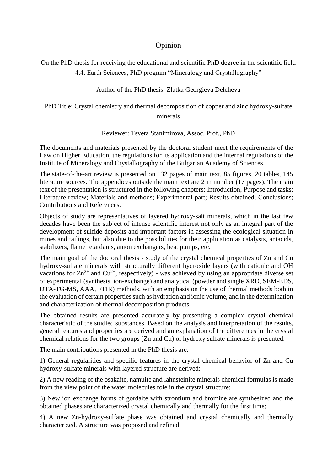## Opinion

On the PhD thesis for receiving the educational and scientific PhD degree in the scientific field 4.4. Earth Sciences, PhD program "Mineralogy and Crystallography"

Author of the PhD thesis: Zlatka Georgieva Delcheva

PhD Title: Crystal chemistry and thermal decomposition of copper and zinc hydroxy-sulfate minerals

## Reviewer: Tsveta Stanimirova, Assoc. Prof., PhD

The documents and materials presented by the doctoral student meet the requirements of the Law on Higher Education, the regulations for its application and the internal regulations of the Institute of Mineralogy and Crystallography of the Bulgarian Academy of Sciences.

The state-of-the-art review is presented on 132 pages of main text, 85 figures, 20 tables, 145 literature sources. The appendices outside the main text are 2 in number (17 pages). The main text of the presentation is structured in the following chapters: Introduction, Purpose and tasks; Literature review; Materials and methods; Experimental part; Results obtained; Conclusions; Contributions and References.

Objects of study are representatives of layered hydroxy-salt minerals, which in the last few decades have been the subject of intense scientific interest not only as an integral part of the development of sulfide deposits and important factors in assessing the ecological situation in mines and tailings, but also due to the possibilities for their application as catalysts, antacids, stabilizers, flame retardants, anion exchangers, heat pumps, etc.

The main goal of the doctoral thesis - study of the crystal chemical properties of Zn and Cu hydroxy-sulfate minerals with structurally different hydroxide layers (with cationic and OH vacations for  $\text{Zn}^{2+}$  and  $\text{Cu}^{2+}$ , respectively) - was achieved by using an appropriate diverse set of experimental (synthesis, ion-exchange) and analytical (powder and single XRD, SEM-EDS, DTA-TG-MS, AAA, FTIR) methods, with an emphasis on the use of thermal methods both in the evaluation of certain properties such as hydration and ionic volume, and in the determination and characterization of thermal decomposition products.

The obtained results are presented accurately by presenting a complex crystal chemical characteristic of the studied substances. Based on the analysis and interpretation of the results, general features and properties are derived and an explanation of the differences in the crystal chemical relations for the two groups (Zn and Cu) of hydroxy sulfate minerals is presented.

The main contributions presented in the PhD thesis are:

1) General regularities and specific features in the crystal chemical behavior of Zn and Cu hydroxy-sulfate minerals with layered structure are derived;

2) A new reading of the osakaite, namuite and lahnsteinite minerals chemical formulas is made from the view point of the water molecules role in the crystal structure;

3) New ion exchange forms of gordaite with strontium and bromine are synthesized and the obtained phases are characterized crystal chemically and thermally for the first time;

4) A new Zn-hydroxy-sulfate phase was obtained and crystal chemically and thermally characterized. A structure was proposed and refined;